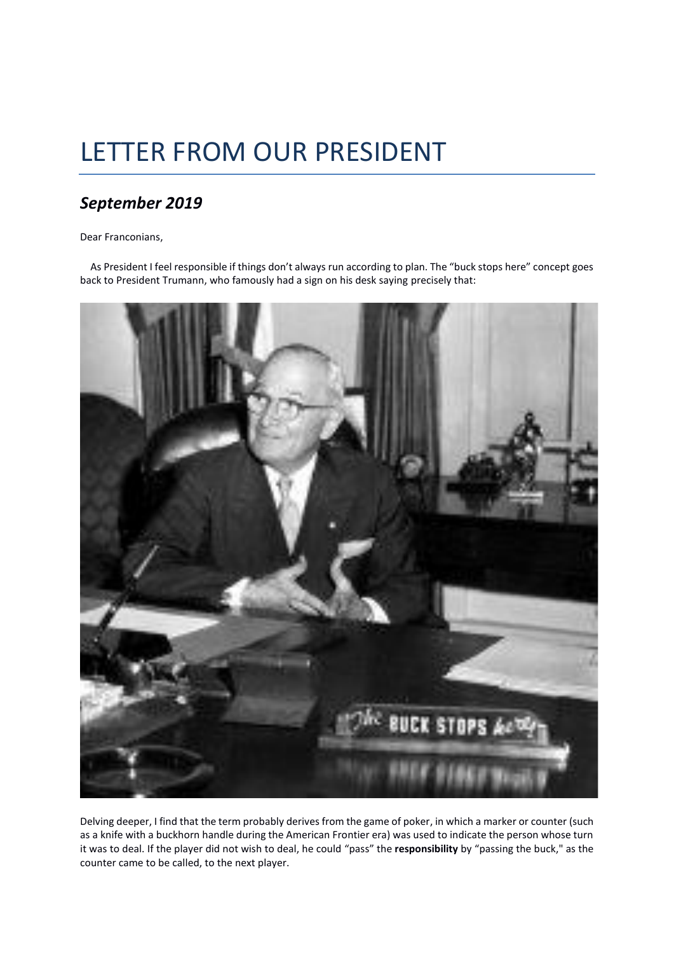## LETTER FROM OUR PRESIDENT

## *September 2019*

Dear Franconians,

 As President I feel responsible if things don't always run according to plan. The "buck stops here" concept goes back to President Trumann, who famously had a sign on his desk saying precisely that:



Delving deeper, I find that the term probably derives from the game of poker, in which a marker or counter (such as a knife with a buckhorn handle during the American Frontier era) was used to indicate the person whose turn it was to deal. If the player did not wish to deal, he could "pass" the **responsibility** by "passing the buck," as the counter came to be called, to the next player.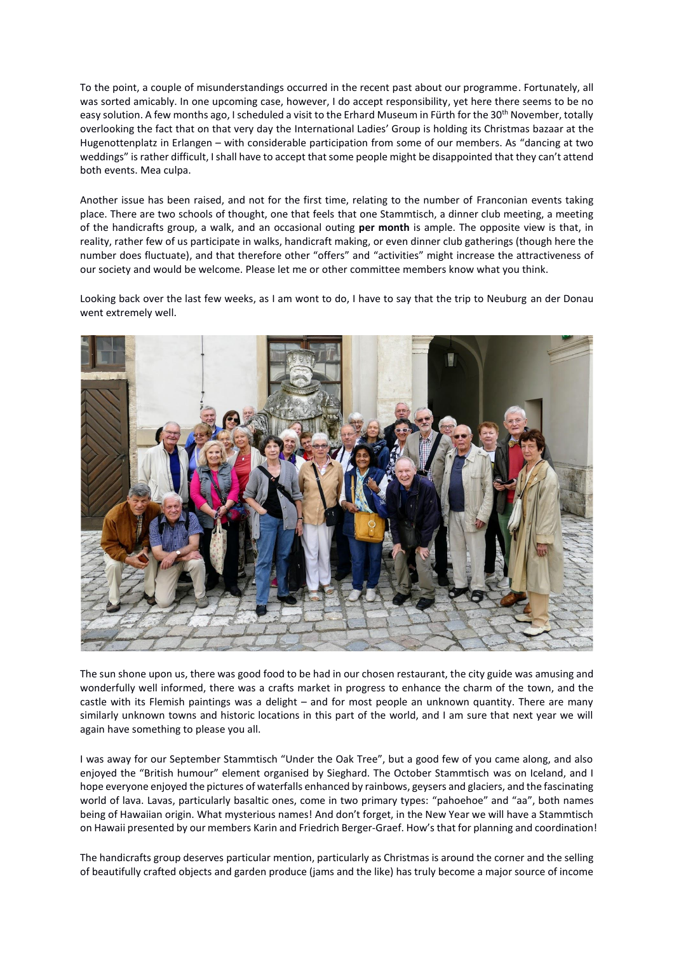To the point, a couple of misunderstandings occurred in the recent past about our programme. Fortunately, all was sorted amicably. In one upcoming case, however, I do accept responsibility, yet here there seems to be no easy solution. A few months ago, I scheduled a visit to the Erhard Museum in Fürth for the 30<sup>th</sup> November, totally overlooking the fact that on that very day the International Ladies' Group is holding its Christmas bazaar at the Hugenottenplatz in Erlangen – with considerable participation from some of our members. As "dancing at two weddings" is rather difficult, I shall have to accept that some people might be disappointed that they can't attend both events. Mea culpa.

Another issue has been raised, and not for the first time, relating to the number of Franconian events taking place. There are two schools of thought, one that feels that one Stammtisch, a dinner club meeting, a meeting of the handicrafts group, a walk, and an occasional outing **per month** is ample. The opposite view is that, in reality, rather few of us participate in walks, handicraft making, or even dinner club gatherings (though here the number does fluctuate), and that therefore other "offers" and "activities" might increase the attractiveness of our society and would be welcome. Please let me or other committee members know what you think.

Looking back over the last few weeks, as I am wont to do, I have to say that the trip to Neuburg an der Donau went extremely well.



The sun shone upon us, there was good food to be had in our chosen restaurant, the city guide was amusing and wonderfully well informed, there was a crafts market in progress to enhance the charm of the town, and the castle with its Flemish paintings was a delight – and for most people an unknown quantity. There are many similarly unknown towns and historic locations in this part of the world, and I am sure that next year we will again have something to please you all.

I was away for our September Stammtisch "Under the Oak Tree", but a good few of you came along, and also enjoyed the "British humour" element organised by Sieghard. The October Stammtisch was on Iceland, and I hope everyone enjoyed the pictures of waterfalls enhanced by rainbows, geysers and glaciers, and the fascinating world of lava. Lavas, particularly basaltic ones, come in two primary types: "pahoehoe" and "aa", both names being of Hawaiian origin. What mysterious names! And don't forget, in the New Year we will have a Stammtisch on Hawaii presented by our members Karin and Friedrich Berger-Graef. How's that for planning and coordination!

The handicrafts group deserves particular mention, particularly as Christmas is around the corner and the selling of beautifully crafted objects and garden produce (jams and the like) has truly become a major source of income